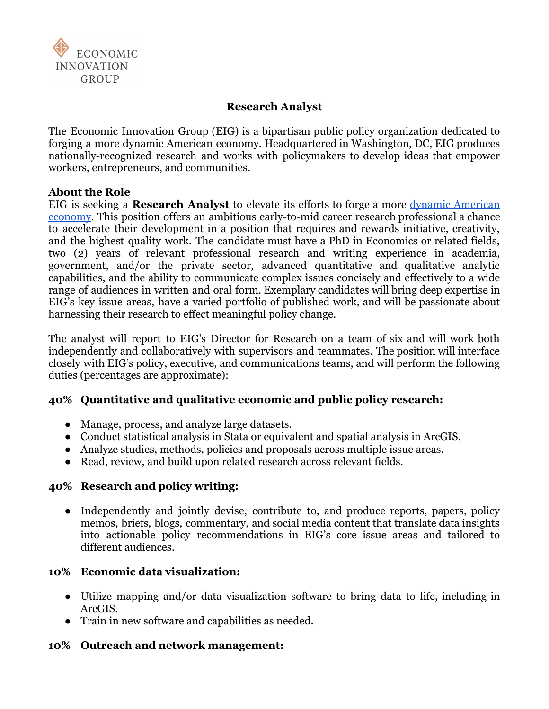

### **Research Analyst**

The Economic Innovation Group (EIG) is a bipartisan public policy organization dedicated to forging a more dynamic American economy. Headquartered in Washington, DC, EIG produces nationally-recognized research and works with policymakers to develop ideas that empower workers, entrepreneurs, and communities.

#### **About the Role**

EIG is seeking a **Research Analyst** to elevate its efforts to forge a more dynamic [American](https://eig.org/wp-content/uploads/2022/04/case-for-dynamism.pdf) [economy.](https://eig.org/wp-content/uploads/2022/04/case-for-dynamism.pdf) This position offers an ambitious early-to-mid career research professional a chance to accelerate their development in a position that requires and rewards initiative, creativity, and the highest quality work. The candidate must have a PhD in Economics or related fields, two (2) years of relevant professional research and writing experience in academia, government, and/or the private sector, advanced quantitative and qualitative analytic capabilities, and the ability to communicate complex issues concisely and effectively to a wide range of audiences in written and oral form. Exemplary candidates will bring deep expertise in EIG's key issue areas, have a varied portfolio of published work, and will be passionate about harnessing their research to effect meaningful policy change.

The analyst will report to EIG's Director for Research on a team of six and will work both independently and collaboratively with supervisors and teammates. The position will interface closely with EIG's policy, executive, and communications teams, and will perform the following duties (percentages are approximate):

#### **40% Quantitative and qualitative economic and public policy research:**

- Manage, process, and analyze large datasets.
- Conduct statistical analysis in Stata or equivalent and spatial analysis in ArcGIS.
- Analyze studies, methods, policies and proposals across multiple issue areas.
- Read, review, and build upon related research across relevant fields.

#### **40% Research and policy writing:**

• Independently and jointly devise, contribute to, and produce reports, papers, policy memos, briefs, blogs, commentary, and social media content that translate data insights into actionable policy recommendations in EIG's core issue areas and tailored to different audiences.

#### **10% Economic data visualization:**

- Utilize mapping and/or data visualization software to bring data to life, including in ArcGIS.
- Train in new software and capabilities as needed.

#### **10% Outreach and network management:**